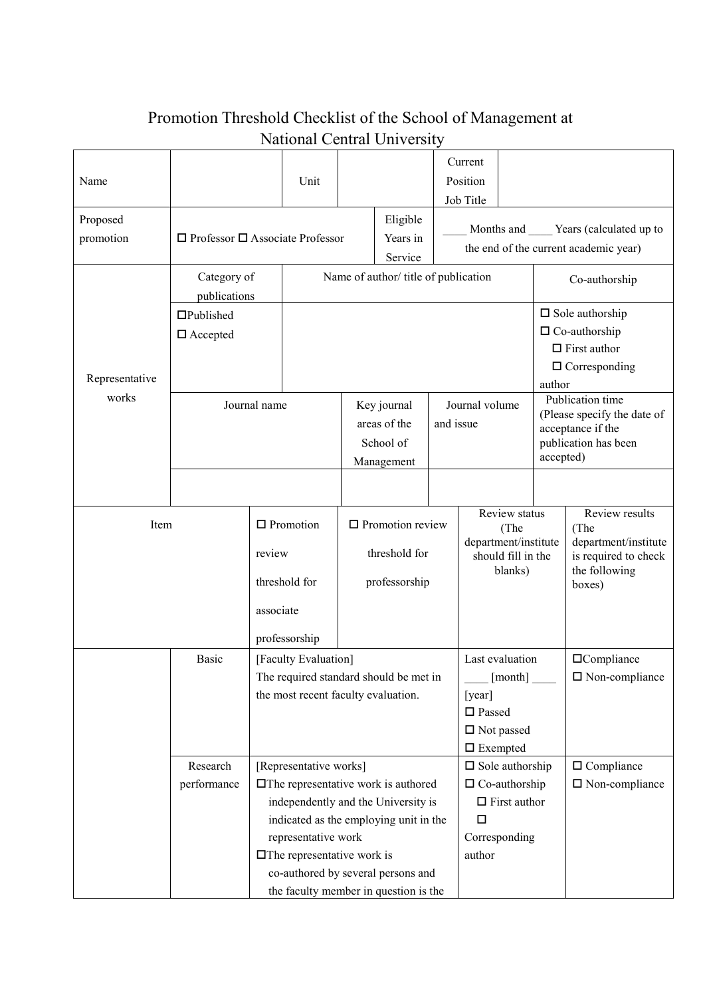## Name Unit Current Position Job Title Proposed promotion  $\Box$  Professor  $\Box$  Associate Professor Eligible Years in Service Months and **Wears** (calculated up to the end of the current academic year) Representative works Category of publications Name of author/ title of publication <br>Co-authorship Published □ Accepted  $\square$  Sole authorship □ Co-authorship  $\Box$  First author □ Corresponding author Journal name Key journal areas of the School of Management Journal volume and issue Publication time (Please specify the date of acceptance if the publication has been accepted) Item  $\Box$  Promotion review threshold for associate professorship  $\square$  Promotion review threshold for professorship Review status (The department/institute should fill in the blanks) Review results (The department/institute is required to check the following boxes) Basic [Faculty Evaluation] The required standard should be met in the most recent faculty evaluation. Last evaluation  $[month]$ [year] □ Passed □ Not passed □ Exempted Compliance □ Non-compliance Research performance [Representative works] The representative work is authored independently and the University is indicated as the employing unit in the representative work  $\square$  The representative work is co-authored by several persons and the faculty member in question is the  $\square$  Sole authorship  $\Box$  Co-authorship  $\Box$  First author  $\Box$ Corresponding author □ Compliance □ Non-compliance

## Promotion Threshold Checklist of the School of Management at National Central University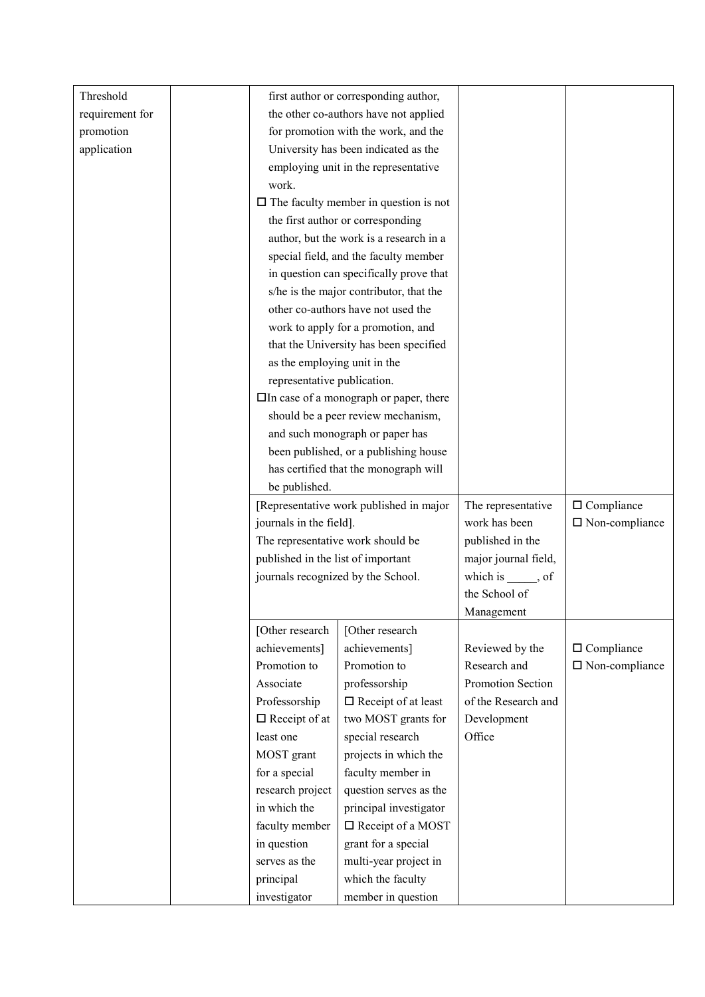| Threshold       |                                               | first author or corresponding author,        |                      |                          |
|-----------------|-----------------------------------------------|----------------------------------------------|----------------------|--------------------------|
| requirement for |                                               | the other co-authors have not applied        |                      |                          |
| promotion       |                                               | for promotion with the work, and the         |                      |                          |
| application     |                                               | University has been indicated as the         |                      |                          |
|                 |                                               | employing unit in the representative         |                      |                          |
|                 | work.                                         |                                              |                      |                          |
|                 |                                               |                                              |                      |                          |
|                 |                                               | $\Box$ The faculty member in question is not |                      |                          |
|                 |                                               | the first author or corresponding            |                      |                          |
|                 |                                               | author, but the work is a research in a      |                      |                          |
|                 |                                               | special field, and the faculty member        |                      |                          |
|                 |                                               | in question can specifically prove that      |                      |                          |
|                 |                                               | s/he is the major contributor, that the      |                      |                          |
|                 |                                               | other co-authors have not used the           |                      |                          |
|                 |                                               | work to apply for a promotion, and           |                      |                          |
|                 |                                               | that the University has been specified       |                      |                          |
|                 | as the employing unit in the                  |                                              |                      |                          |
|                 | representative publication.                   |                                              |                      |                          |
|                 | $\Box$ In case of a monograph or paper, there |                                              |                      |                          |
|                 | should be a peer review mechanism,            |                                              |                      |                          |
|                 | and such monograph or paper has               |                                              |                      |                          |
|                 | been published, or a publishing house         |                                              |                      |                          |
|                 |                                               | has certified that the monograph will        |                      |                          |
|                 | be published.                                 |                                              |                      |                          |
|                 |                                               | [Representative work published in major      |                      |                          |
|                 |                                               |                                              | The representative   | $\Box$ Compliance        |
|                 | journals in the field].                       |                                              | work has been        | $\square$ Non-compliance |
|                 |                                               | The representative work should be            | published in the     |                          |
|                 | published in the list of important            |                                              | major journal field, |                          |
|                 | journals recognized by the School.            |                                              | which is ______, of  |                          |
|                 |                                               |                                              | the School of        |                          |
|                 |                                               |                                              | Management           |                          |
|                 | [Other research                               | [Other research                              |                      |                          |
|                 | achievements]                                 | achievements]                                | Reviewed by the      | $\Box$ Compliance        |
|                 | Promotion to                                  | Promotion to                                 | Research and         | $\square$ Non-compliance |
|                 | Associate                                     | professorship                                | Promotion Section    |                          |
|                 | Professorship                                 | $\Box$ Receipt of at least                   | of the Research and  |                          |
|                 | $\Box$ Receipt of at                          | two MOST grants for                          | Development          |                          |
|                 | least one                                     | special research                             | Office               |                          |
|                 | MOST grant                                    | projects in which the                        |                      |                          |
|                 | for a special                                 | faculty member in                            |                      |                          |
|                 | research project                              | question serves as the                       |                      |                          |
|                 | in which the                                  | principal investigator                       |                      |                          |
|                 | faculty member                                | □ Receipt of a MOST                          |                      |                          |
|                 | in question                                   | grant for a special                          |                      |                          |
|                 | serves as the                                 | multi-year project in                        |                      |                          |
|                 | principal                                     | which the faculty                            |                      |                          |